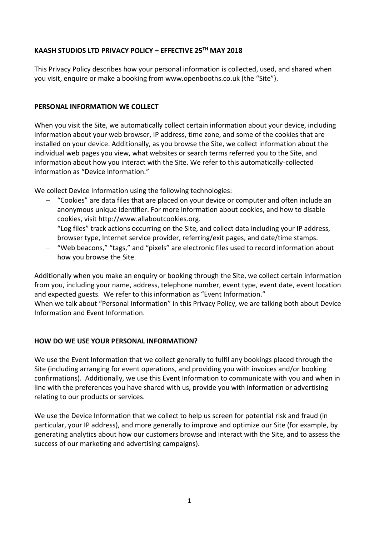# **KAASH STUDIOS LTD PRIVACY POLICY – EFFECTIVE 25TH MAY 2018**

This Privacy Policy describes how your personal information is collected, used, and shared when you visit, enquire or make a booking from www.openbooths.co.uk (the "Site").

## **PERSONAL INFORMATION WE COLLECT**

When you visit the Site, we automatically collect certain information about your device, including information about your web browser, IP address, time zone, and some of the cookies that are installed on your device. Additionally, as you browse the Site, we collect information about the individual web pages you view, what websites or search terms referred you to the Site, and information about how you interact with the Site. We refer to this automatically-collected information as "Device Information."

We collect Device Information using the following technologies:

- − "Cookies" are data files that are placed on your device or computer and often include an anonymous unique identifier. For more information about cookies, and how to disable cookies, visit http://www.allaboutcookies.org.
- − "Log files" track actions occurring on the Site, and collect data including your IP address, browser type, Internet service provider, referring/exit pages, and date/time stamps.
- − "Web beacons," "tags," and "pixels" are electronic files used to record information about how you browse the Site.

Additionally when you make an enquiry or booking through the Site, we collect certain information from you, including your name, address, telephone number, event type, event date, event location and expected guests. We refer to this information as "Event Information." When we talk about "Personal Information" in this Privacy Policy, we are talking both about Device Information and Event Information.

#### **HOW DO WE USE YOUR PERSONAL INFORMATION?**

We use the Event Information that we collect generally to fulfil any bookings placed through the Site (including arranging for event operations, and providing you with invoices and/or booking confirmations). Additionally, we use this Event Information to communicate with you and when in line with the preferences you have shared with us, provide you with information or advertising relating to our products or services.

We use the Device Information that we collect to help us screen for potential risk and fraud (in particular, your IP address), and more generally to improve and optimize our Site (for example, by generating analytics about how our customers browse and interact with the Site, and to assess the success of our marketing and advertising campaigns).